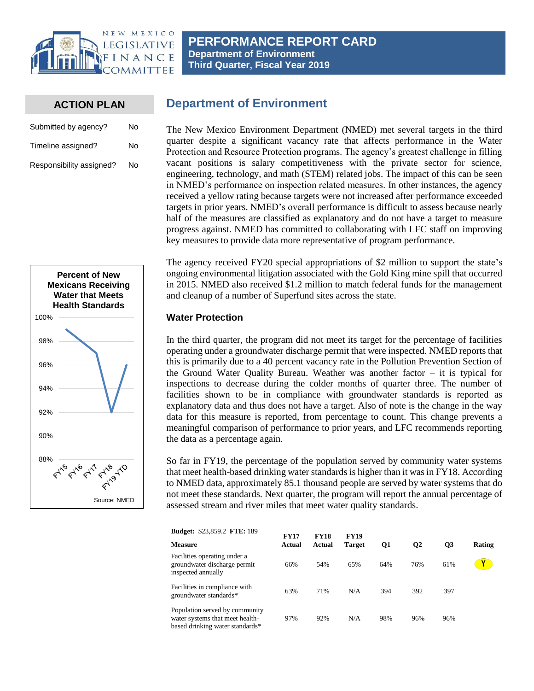

#### **ACTION PLAN**

| Submitted by agency?     | No |
|--------------------------|----|
| Timeline assigned?       | No |
| Responsibility assigned? | No |

# **Department of Environment**

The New Mexico Environment Department (NMED) met several targets in the third quarter despite a significant vacancy rate that affects performance in the Water Protection and Resource Protection programs. The agency's greatest challenge in filling vacant positions is salary competitiveness with the private sector for science, engineering, technology, and math (STEM) related jobs. The impact of this can be seen in NMED's performance on inspection related measures. In other instances, the agency received a yellow rating because targets were not increased after performance exceeded targets in prior years. NMED's overall performance is difficult to assess because nearly half of the measures are classified as explanatory and do not have a target to measure progress against. NMED has committed to collaborating with LFC staff on improving key measures to provide data more representative of program performance.



The agency received FY20 special appropriations of \$2 million to support the state's ongoing environmental litigation associated with the Gold King mine spill that occurred in 2015. NMED also received \$1.2 million to match federal funds for the management and cleanup of a number of Superfund sites across the state.

#### **Water Protection**

In the third quarter, the program did not meet its target for the percentage of facilities operating under a groundwater discharge permit that were inspected. NMED reports that this is primarily due to a 40 percent vacancy rate in the Pollution Prevention Section of the Ground Water Quality Bureau. Weather was another factor – it is typical for inspections to decrease during the colder months of quarter three. The number of facilities shown to be in compliance with groundwater standards is reported as explanatory data and thus does not have a target. Also of note is the change in the way data for this measure is reported, from percentage to count. This change prevents a meaningful comparison of performance to prior years, and LFC recommends reporting the data as a percentage again.

So far in FY19, the percentage of the population served by community water systems that meet health-based drinking water standards is higher than it was in FY18. According to NMED data, approximately 85.1 thousand people are served by water systems that do not meet these standards. Next quarter, the program will report the annual percentage of assessed stream and river miles that meet water quality standards.

| <b>Budget: \$23,859.2 FTE: 189</b>                                                                   | <b>FY17</b> | <b>FY18</b><br>Actual | <b>FY19</b>   |     |           |                 |               |
|------------------------------------------------------------------------------------------------------|-------------|-----------------------|---------------|-----|-----------|-----------------|---------------|
| <b>Measure</b>                                                                                       | Actual      |                       | <b>Target</b> | Q1  | <b>O2</b> | $\overline{O3}$ | <b>Rating</b> |
| Facilities operating under a<br>groundwater discharge permit<br>inspected annually                   | 66%         | 54%                   | 65%           | 64% | 76%       | 61%             |               |
| Facilities in compliance with<br>groundwater standards*                                              | 63%         | 71%                   | N/A           | 394 | 392       | 397             |               |
| Population served by community<br>water systems that meet health-<br>based drinking water standards* | 97%         | 92%                   | N/A           | 98% | 96%       | 96%             |               |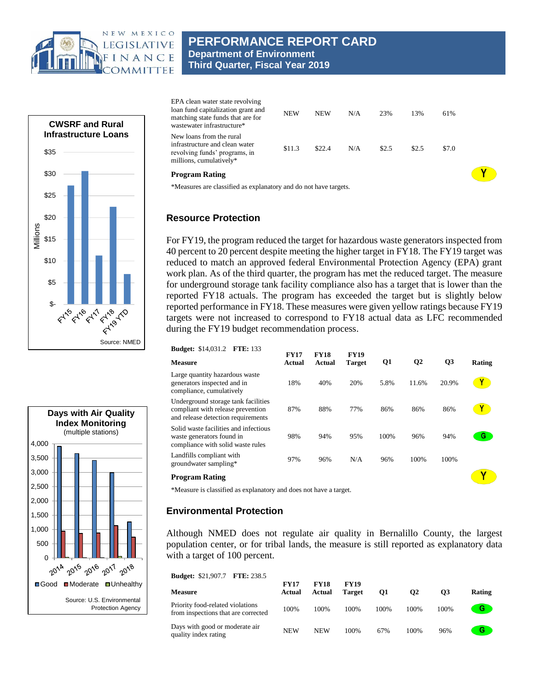

# **PERFORMANCE REPORT CARD Department of Environment Third Quarter, Fiscal Year 2019**



| EPA clean water state revolving<br>loan fund capitalization grant and<br>matching state funds that are for<br>wastewater infrastructure* | <b>NEW</b> | <b>NEW</b> | N/A | 23%   | 13%   | 61%   |  |
|------------------------------------------------------------------------------------------------------------------------------------------|------------|------------|-----|-------|-------|-------|--|
| New loans from the rural<br>infrastructure and clean water<br>revolving funds' programs, in<br>millions, cumulatively*                   | \$11.3     | \$22.4     | N/A | \$2.5 | \$2.5 | \$7.0 |  |
| <b>Program Rating</b>                                                                                                                    |            |            |     |       |       |       |  |
| *Measures are classified as explanatory and do not have targets.                                                                         |            |            |     |       |       |       |  |

### **Resource Protection**

For FY19, the program reduced the target for hazardous waste generators inspected from 40 percent to 20 percent despite meeting the higher target in FY18. The FY19 target was reduced to match an approved federal Environmental Protection Agency (EPA) grant work plan. As of the third quarter, the program has met the reduced target. The measure for underground storage tank facility compliance also has a target that is lower than the reported FY18 actuals. The program has exceeded the target but is slightly below reported performance in FY18. These measures were given yellow ratings because FY19 targets were not increased to correspond to FY18 actual data as LFC recommended during the FY19 budget recommendation process.

| <b>Budget:</b> \$14,031.2<br><b>FTE: 133</b>                                                                   | <b>FY17</b> | <b>FY18</b> | <b>FY19</b>   |      |                |                |        |
|----------------------------------------------------------------------------------------------------------------|-------------|-------------|---------------|------|----------------|----------------|--------|
| <b>Measure</b>                                                                                                 | Actual      | Actual      | <b>Target</b> | Q1   | Q <sub>2</sub> | Q <sub>3</sub> | Rating |
| Large quantity hazardous waste<br>generators inspected and in<br>compliance, cumulatively                      | 18%         | 40%         | 20%           | 5.8% | 11.6%          | 20.9%          |        |
| Underground storage tank facilities<br>compliant with release prevention<br>and release detection requirements | 87%         | 88%         | 77%           | 86%  | 86%            | 86%            |        |
| Solid waste facilities and infectious<br>waste generators found in<br>compliance with solid waste rules        | 98%         | 94%         | 95%           | 100% | 96%            | 94%            | G.     |
| Landfills compliant with<br>groundwater sampling*                                                              | 97%         | 96%         | N/A           | 96%  | 100%           | 100%           |        |
| <b>Program Rating</b>                                                                                          |             |             |               |      |                |                |        |

\*Measure is classified as explanatory and does not have a target.

### **Environmental Protection**

Although NMED does not regulate air quality in Bernalillo County, the largest population center, or for tribal lands, the measure is still reported as explanatory data with a target of 100 percent.

| <b>Budget: \$21,907.7 FTE: 238.5</b>                                    |                       |                       |                              |      |      |      |        |  |
|-------------------------------------------------------------------------|-----------------------|-----------------------|------------------------------|------|------|------|--------|--|
| <b>Measure</b>                                                          | <b>FY17</b><br>Actual | <b>FY18</b><br>Actual | <b>FY19</b><br><b>Target</b> | 01   | Ο2   | O3   | Rating |  |
| Priority food-related violations<br>from inspections that are corrected | 100%                  | 100%                  | 100%                         | 100% | 100% | 100% | G      |  |
| Days with good or moderate air<br>quality index rating                  | <b>NEW</b>            | <b>NEW</b>            | 100%                         | 67%  | 100% | 96%  | G      |  |